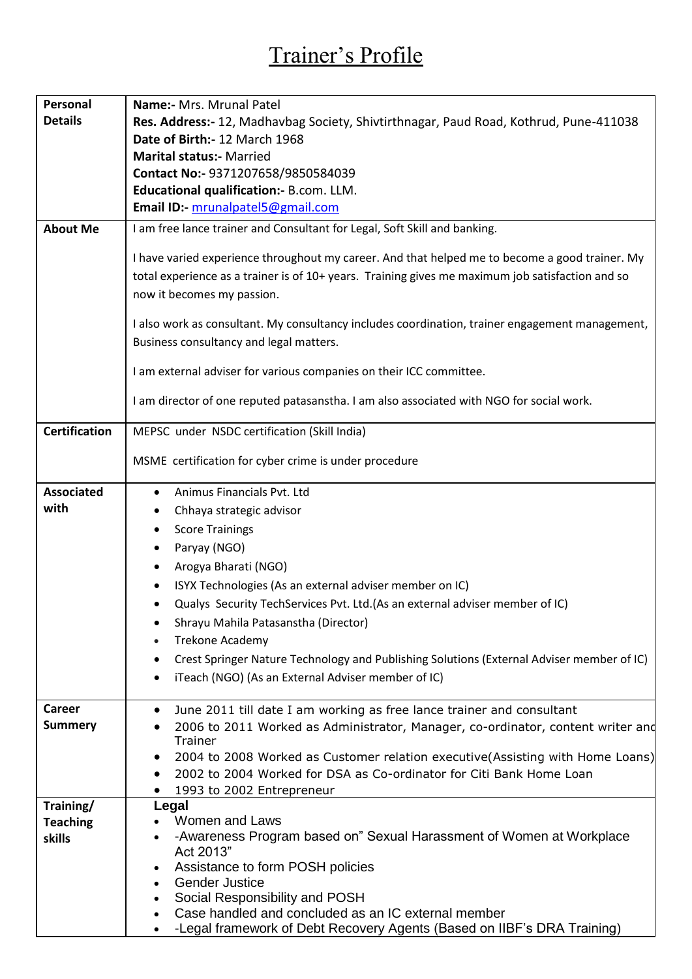## Trainer's Profile

| Personal             | Name:- Mrs. Mrunal Patel                                                                                                                                                                                                         |
|----------------------|----------------------------------------------------------------------------------------------------------------------------------------------------------------------------------------------------------------------------------|
| <b>Details</b>       | Res. Address:- 12, Madhavbag Society, Shivtirthnagar, Paud Road, Kothrud, Pune-411038                                                                                                                                            |
|                      | Date of Birth: 12 March 1968                                                                                                                                                                                                     |
|                      | <b>Marital status:- Married</b>                                                                                                                                                                                                  |
|                      | Contact No:- 9371207658/9850584039                                                                                                                                                                                               |
|                      | Educational qualification:- B.com. LLM.                                                                                                                                                                                          |
|                      | Email ID:- mrunalpatel5@gmail.com                                                                                                                                                                                                |
| <b>About Me</b>      | I am free lance trainer and Consultant for Legal, Soft Skill and banking.                                                                                                                                                        |
|                      | I have varied experience throughout my career. And that helped me to become a good trainer. My<br>total experience as a trainer is of 10+ years. Training gives me maximum job satisfaction and so<br>now it becomes my passion. |
|                      | I also work as consultant. My consultancy includes coordination, trainer engagement management,                                                                                                                                  |
|                      | Business consultancy and legal matters.                                                                                                                                                                                          |
|                      | I am external adviser for various companies on their ICC committee.                                                                                                                                                              |
|                      | I am director of one reputed patasanstha. I am also associated with NGO for social work.                                                                                                                                         |
| <b>Certification</b> | MEPSC under NSDC certification (Skill India)                                                                                                                                                                                     |
|                      | MSME certification for cyber crime is under procedure                                                                                                                                                                            |
| <b>Associated</b>    | Animus Financials Pvt. Ltd<br>$\bullet$                                                                                                                                                                                          |
| with                 | Chhaya strategic advisor                                                                                                                                                                                                         |
|                      | <b>Score Trainings</b>                                                                                                                                                                                                           |
|                      | Paryay (NGO)                                                                                                                                                                                                                     |
|                      | Arogya Bharati (NGO)                                                                                                                                                                                                             |
|                      | ISYX Technologies (As an external adviser member on IC)                                                                                                                                                                          |
|                      | Qualys Security TechServices Pvt. Ltd. (As an external adviser member of IC)                                                                                                                                                     |
|                      | Shrayu Mahila Patasanstha (Director)                                                                                                                                                                                             |
|                      | Trekone Academy                                                                                                                                                                                                                  |
|                      |                                                                                                                                                                                                                                  |
|                      | Crest Springer Nature Technology and Publishing Solutions (External Adviser member of IC)                                                                                                                                        |
|                      | iTeach (NGO) (As an External Adviser member of IC)<br>$\bullet$                                                                                                                                                                  |
| <b>Career</b>        | June 2011 till date I am working as free lance trainer and consultant<br>$\bullet$                                                                                                                                               |
| <b>Summery</b>       | 2006 to 2011 Worked as Administrator, Manager, co-ordinator, content writer and                                                                                                                                                  |
|                      | Trainer                                                                                                                                                                                                                          |
|                      | 2004 to 2008 Worked as Customer relation executive(Assisting with Home Loans)<br>$\bullet$                                                                                                                                       |
|                      | 2002 to 2004 Worked for DSA as Co-ordinator for Citi Bank Home Loan                                                                                                                                                              |
|                      | 1993 to 2002 Entrepreneur                                                                                                                                                                                                        |
| Training/            | Legal                                                                                                                                                                                                                            |
| <b>Teaching</b>      | Women and Laws<br>-Awareness Program based on" Sexual Harassment of Women at Workplace                                                                                                                                           |
| skills               | Act 2013"                                                                                                                                                                                                                        |
|                      | Assistance to form POSH policies<br>٠                                                                                                                                                                                            |
|                      | <b>Gender Justice</b><br>$\bullet$                                                                                                                                                                                               |
|                      | Social Responsibility and POSH<br>$\bullet$                                                                                                                                                                                      |
|                      | Case handled and concluded as an IC external member<br>$\bullet$                                                                                                                                                                 |
|                      | -Legal framework of Debt Recovery Agents (Based on IIBF's DRA Training)                                                                                                                                                          |